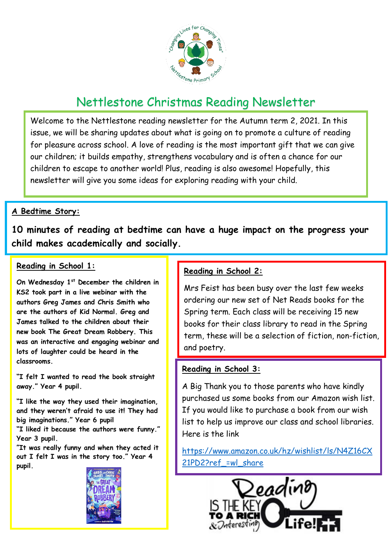

# Nettlestone Christmas Reading Newsletter

Welcome to the Nettlestone reading newsletter for the Autumn term 2, 2021. In this issue, we will be sharing updates about what is going on to promote a culture of reading for pleasure across school. A love of reading is the most important gift that we can give our children; it builds empathy, strengthens vocabulary and is often a chance for our children to escape to another world! Plus, reading is also awesome! Hopefully, this newsletter will give you some ideas for exploring reading with your child.

## **A Bedtime Story:**

**10 minutes of reading at bedtime can have a huge impact on the progress your child makes academically and socially.** 

#### **Reading in School 1:**

**On Wednesday 1st December the children in KS2 took part in a live webinar with the authors Greg James and Chris Smith who are the authors of Kid Normal. Greg and James talked to the children about their new book The Great Dream Robbery. This was an interactive and engaging webinar and lots of laughter could be heard in the classrooms.** 

**"I felt I wanted to read the book straight away." Year 4 pupil.**

**"I like the way they used their imagination, and they weren't afraid to use it! They had big imaginations." Year 6 pupil**

**"I liked it because the authors were funny." Year 3 pupil.**

**"It was really funny and when they acted it out I felt I was in the story too." Year 4 pupil.**



## **Reading in School 2:**

Mrs Feist has been busy over the last few weeks ordering our new set of Net Reads books for the Spring term. Each class will be receiving 15 new books for their class library to read in the Spring term, these will be a selection of fiction, non-fiction, and poetry.

## **Reading in School 3:**

A Big Thank you to those parents who have kindly purchased us some books from our Amazon wish list. If you would like to purchase a book from our wish list to help us improve our class and school libraries. Here is the link

[https://www.amazon.co.uk/hz/wishlist/ls/N4Z16CX](https://www.amazon.co.uk/hz/wishlist/ls/N4Z16CX21PD2?ref_=wl_share) 21PD2?ref =wl share

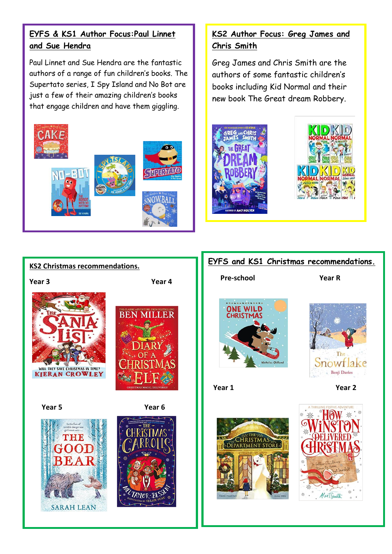## **EYFS & KS1 Author Focus:Paul Linnet and Sue Hendra**

Paul Linnet and Sue Hendra are the fantastic authors of a range of fun children's books. The Supertato series, I Spy Island and No Bot are just a few of their amazing children's books that engage children and have them giggling.



# **KS2 Author Focus: Greg James and Chris Smith**

Greg James and Chris Smith are the authors of some fantastic children's books including Kid Normal and their new book The Great dream Robbery.